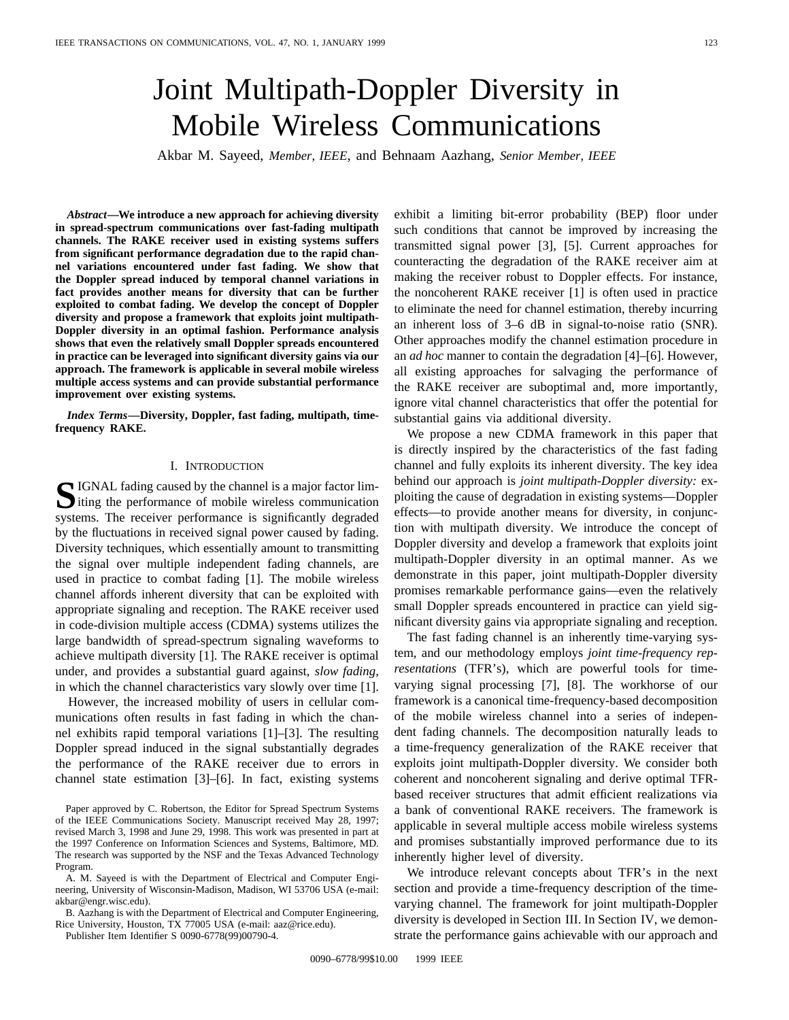# Joint Multipath-Doppler Diversity in Mobile Wireless Communications

Akbar M. Sayeed, *Member, IEEE*, and Behnaam Aazhang, *Senior Member, IEEE*

*Abstract—***We introduce a new approach for achieving diversity in spread-spectrum communications over fast-fading multipath channels. The RAKE receiver used in existing systems suffers from significant performance degradation due to the rapid channel variations encountered under fast fading. We show that the Doppler spread induced by temporal channel variations in fact provides another means for diversity that can be further exploited to combat fading. We develop the concept of Doppler diversity and propose a framework that exploits joint multipath-Doppler diversity in an optimal fashion. Performance analysis shows that even the relatively small Doppler spreads encountered in practice can be leveraged into significant diversity gains via our approach. The framework is applicable in several mobile wireless multiple access systems and can provide substantial performance improvement over existing systems.**

*Index Terms—***Diversity, Doppler, fast fading, multipath, timefrequency RAKE.**

## I. INTRODUCTION

SIGNAL fading caused by the channel is a major factor lim-<br>iting the performance of mobile wireless communication<br> $\sum_{n=1}^{\infty}$ systems. The receiver performance is significantly degraded by the fluctuations in received signal power caused by fading. Diversity techniques, which essentially amount to transmitting the signal over multiple independent fading channels, are used in practice to combat fading [1]. The mobile wireless channel affords inherent diversity that can be exploited with appropriate signaling and reception. The RAKE receiver used in code-division multiple access (CDMA) systems utilizes the large bandwidth of spread-spectrum signaling waveforms to achieve multipath diversity [1]. The RAKE receiver is optimal under, and provides a substantial guard against, *slow fading*, in which the channel characteristics vary slowly over time [1].

However, the increased mobility of users in cellular communications often results in fast fading in which the channel exhibits rapid temporal variations [1]–[3]. The resulting Doppler spread induced in the signal substantially degrades the performance of the RAKE receiver due to errors in channel state estimation [3]–[6]. In fact, existing systems

Paper approved by C. Robertson, the Editor for Spread Spectrum Systems of the IEEE Communications Society. Manuscript received May 28, 1997; revised March 3, 1998 and June 29, 1998. This work was presented in part at the 1997 Conference on Information Sciences and Systems, Baltimore, MD. The research was supported by the NSF and the Texas Advanced Technology Program.

A. M. Sayeed is with the Department of Electrical and Computer Engineering, University of Wisconsin-Madison, Madison, WI 53706 USA (e-mail: akbar@engr.wisc.edu).

B. Aazhang is with the Department of Electrical and Computer Engineering, Rice University, Houston, TX 77005 USA (e-mail: aaz@rice.edu).

Publisher Item Identifier S 0090-6778(99)00790-4.

exhibit a limiting bit-error probability (BEP) floor under such conditions that cannot be improved by increasing the transmitted signal power [3], [5]. Current approaches for counteracting the degradation of the RAKE receiver aim at making the receiver robust to Doppler effects. For instance, the noncoherent RAKE receiver [1] is often used in practice to eliminate the need for channel estimation, thereby incurring an inherent loss of 3–6 dB in signal-to-noise ratio (SNR). Other approaches modify the channel estimation procedure in an *ad hoc* manner to contain the degradation [4]–[6]. However, all existing approaches for salvaging the performance of the RAKE receiver are suboptimal and, more importantly, ignore vital channel characteristics that offer the potential for substantial gains via additional diversity.

We propose a new CDMA framework in this paper that is directly inspired by the characteristics of the fast fading channel and fully exploits its inherent diversity. The key idea behind our approach is *joint multipath-Doppler diversity:* exploiting the cause of degradation in existing systems—Doppler effects—to provide another means for diversity, in conjunction with multipath diversity. We introduce the concept of Doppler diversity and develop a framework that exploits joint multipath-Doppler diversity in an optimal manner. As we demonstrate in this paper, joint multipath-Doppler diversity promises remarkable performance gains—even the relatively small Doppler spreads encountered in practice can yield significant diversity gains via appropriate signaling and reception.

The fast fading channel is an inherently time-varying system, and our methodology employs *joint time-frequency representations* (TFR's), which are powerful tools for timevarying signal processing [7], [8]. The workhorse of our framework is a canonical time-frequency-based decomposition of the mobile wireless channel into a series of independent fading channels. The decomposition naturally leads to a time-frequency generalization of the RAKE receiver that exploits joint multipath-Doppler diversity. We consider both coherent and noncoherent signaling and derive optimal TFRbased receiver structures that admit efficient realizations via a bank of conventional RAKE receivers. The framework is applicable in several multiple access mobile wireless systems and promises substantially improved performance due to its inherently higher level of diversity.

We introduce relevant concepts about TFR's in the next section and provide a time-frequency description of the timevarying channel. The framework for joint multipath-Doppler diversity is developed in Section III. In Section IV, we demonstrate the performance gains achievable with our approach and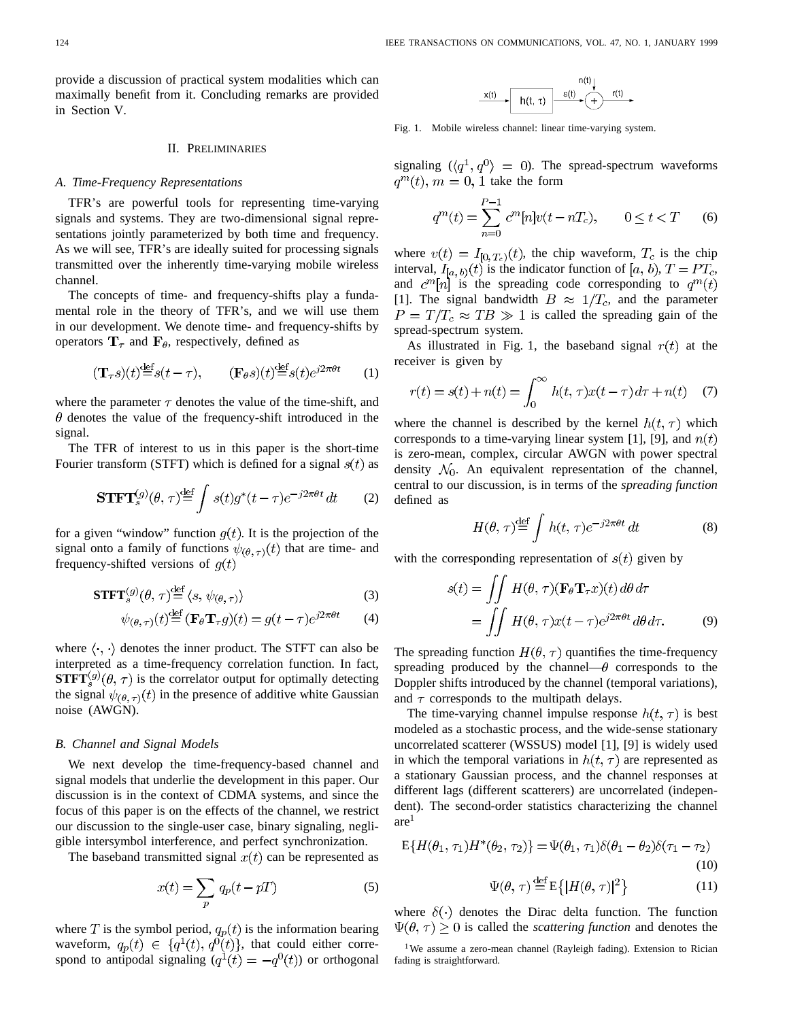provide a discussion of practical system modalities which can maximally benefit from it. Concluding remarks are provided in Section V.

#### II. PRELIMINARIES

#### *A. Time-Frequency Representations*

TFR's are powerful tools for representing time-varying signals and systems. They are two-dimensional signal representations jointly parameterized by both time and frequency. As we will see, TFR's are ideally suited for processing signals transmitted over the inherently time-varying mobile wireless channel.

The concepts of time- and frequency-shifts play a fundamental role in the theory of TFR's, and we will use them in our development. We denote time- and frequency-shifts by operators  $\mathbf{T}_{\tau}$  and  $\mathbf{F}_{\theta}$ , respectively, defined as

$$
(\mathbf{T}_{\tau}s)(t)^{\text{def}}_{\tau s}(t-\tau), \qquad (\mathbf{F}_{\theta}s)(t)^{\text{def}}_{\tau s}(t)e^{j2\pi\theta t} \qquad (1)
$$

where the parameter  $\tau$  denotes the value of the time-shift, and  $\theta$  denotes the value of the frequency-shift introduced in the signal.

The TFR of interest to us in this paper is the short-time Fourier transform (STFT) which is defined for a signal  $s(t)$  as

$$
\mathbf{STFT}_s^{(g)}(\theta,\tau) \stackrel{\text{def}}{=} \int s(t)g^*(t-\tau)e^{-j2\pi\theta t} dt \qquad (2)
$$

for a given "window" function  $q(t)$ . It is the projection of the signal onto a family of functions  $\psi_{(\theta, \tau)}(t)$  that are time- and frequency-shifted versions of  $g(t)$ 

$$
\text{STFT}_s^{(g)}(\theta, \tau) \stackrel{\text{def}}{=} \langle s, \psi_{(\theta, \tau)} \rangle \tag{3}
$$

$$
\psi_{(\theta,\tau)}(t) \stackrel{\text{def}}{=} (\mathbf{F}_{\theta} \mathbf{T}_{\tau} g)(t) = g(t-\tau) e^{j2\pi\theta t} \qquad (4)
$$

where  $\langle \cdot, \cdot \rangle$  denotes the inner product. The STFT can also be interpreted as a time-frequency correlation function. In fact, **STFT**<sup>(g)</sup>( $\theta$ ,  $\tau$ ) is the correlator output for optimally detecting the signal  $\psi_{(\theta, \tau)}(t)$  in the presence of additive white Gaussian noise (AWGN).

# *B. Channel and Signal Models*

We next develop the time-frequency-based channel and signal models that underlie the development in this paper. Our discussion is in the context of CDMA systems, and since the focus of this paper is on the effects of the channel, we restrict our discussion to the single-user case, binary signaling, negligible intersymbol interference, and perfect synchronization.

The baseband transmitted signal  $x(t)$  can be represented as

$$
x(t) = \sum_{p} q_p(t - pT) \tag{5}
$$

where T is the symbol period,  $q_p(t)$  is the information bearing waveform,  $q_p(t) \in \{q^{\hat{1}}(t), q^{\hat{0}}(t)\}\$ , that could either correspond to antipodal signaling  $(q^1(t) = -q^0(t))$  or orthogonal

$$
\begin{array}{c}\n\mathsf{X}(t) \\
\hline\n\end{array}\n\qquad\n\begin{array}{c}\n\mathsf{I}(t) \\
\hline\n\end{array}\n\qquad\n\begin{array}{c}\n\mathsf{I}(t) \\
\hline\n\end{array}\n\qquad\n\begin{array}{c}\n\mathsf{I}(t) \\
\hline\n\end{array}\n\qquad\n\begin{array}{c}\n\mathsf{I}(t) \\
\hline\n\end{array}\n\qquad\n\begin{array}{c}\n\mathsf{I}(t) \\
\hline\n\end{array}\n\qquad\n\begin{array}{c}\n\mathsf{I}(t) \\
\hline\n\end{array}\n\qquad\n\begin{array}{c}\n\mathsf{I}(t) \\
\hline\n\end{array}\n\qquad\n\begin{array}{c}\n\mathsf{I}(t) \\
\hline\n\end{array}\n\qquad\n\begin{array}{c}\n\mathsf{I}(t) \\
\hline\n\end{array}\n\qquad\n\begin{array}{c}\n\mathsf{I}(t) \\
\hline\n\end{array}\n\qquad\n\begin{array}{c}\n\mathsf{I}(t) \\
\hline\n\end{array}\n\qquad\n\begin{array}{c}\n\mathsf{I}(t) \\
\hline\n\end{array}\n\qquad\n\begin{array}{c}\n\mathsf{I}(t) \\
\hline\n\end{array}\n\qquad\n\begin{array}{c}\n\mathsf{I}(t) \\
\hline\n\end{array}\n\qquad\n\begin{array}{c}\n\mathsf{I}(t) \\
\hline\n\end{array}\n\qquad\n\begin{array}{c}\n\mathsf{I}(t) \\
\hline\n\end{array}\n\qquad\n\begin{array}{c}\n\mathsf{I}(t) \\
\hline\n\end{array}\n\qquad\n\begin{array}{c}\n\mathsf{I}(t) \\
\hline\n\end{array}\n\qquad\n\begin{array}{c}\n\mathsf{I}(t) \\
\hline\n\end{array}\n\qquad\n\begin{array}{c}\n\mathsf{I}(t) \\
\hline\n\end{array}\n\qquad\n\begin{array}{c}\n\mathsf{I}(t) \\
\hline\n\end{array}\n\qquad\n\begin{array}{c}\n\mathsf{I}(t) \\
\hline\n\end{array}\n\qquad\n\begin{array}{c}\n\mathsf{I}(t) \\
\hline\n\end{array}\n\qquad\n\begin{array}{c}\n\mathsf{I}(t)
$$

Fig. 1. Mobile wireless channel: linear time-varying system.

signaling  $\langle \langle q^1, q^0 \rangle = 0$ ). The spread-spectrum waveforms  $q^m(t)$ ,  $m = 0, 1$  take the form

$$
q^{m}(t) = \sum_{n=0}^{P-1} c^{m}[n]v(t - nT_c), \qquad 0 \le t < T \qquad (6)
$$

where  $v(t) = I_{[0, T_c)}(t)$ , the chip waveform,  $T_c$  is the chip interval,  $I_{[a, b)}(t)$  is the indicator function of  $[a, b), T = PT_c$ , and  $c^m[n]$  is the spreading code corresponding to  $q^m(t)$ [1]. The signal bandwidth  $B \approx 1/T_c$ , and the parameter  $P = T/T_c \approx TB \gg 1$  is called the spreading gain of the spread-spectrum system.

As illustrated in Fig. 1, the baseband signal  $r(t)$  at the receiver is given by

$$
r(t) = s(t) + n(t) = \int_0^\infty h(t, \tau) x(t - \tau) d\tau + n(t) \quad (7)
$$

where the channel is described by the kernel  $h(t, \tau)$  which corresponds to a time-varying linear system [1], [9], and  $n(t)$ is zero-mean, complex, circular AWGN with power spectral density  $\mathcal{N}_0$ . An equivalent representation of the channel, central to our discussion, is in terms of the *spreading function* defined as

$$
H(\theta, \tau) \stackrel{\text{def}}{=} \int h(t, \tau) e^{-j2\pi\theta t} dt \tag{8}
$$

with the corresponding representation of  $s(t)$  given by

$$
s(t) = \iint H(\theta, \tau)(\mathbf{F}_{\theta}\mathbf{T}_{\tau}x)(t) d\theta d\tau
$$

$$
= \iint H(\theta, \tau)x(t-\tau)e^{j2\pi\theta t} d\theta d\tau.
$$
(9)

The spreading function  $H(\theta, \tau)$  quantifies the time-frequency spreading produced by the channel— $\theta$  corresponds to the Doppler shifts introduced by the channel (temporal variations), and  $\tau$  corresponds to the multipath delays.

The time-varying channel impulse response  $h(t, \tau)$  is best modeled as a stochastic process, and the wide-sense stationary uncorrelated scatterer (WSSUS) model [1], [9] is widely used in which the temporal variations in  $h(t, \tau)$  are represented as a stationary Gaussian process, and the channel responses at different lags (different scatterers) are uncorrelated (independent). The second-order statistics characterizing the channel  $are<sup>1</sup>$ 

$$
E\{H(\theta_1, \tau_1)H^*(\theta_2, \tau_2)\} = \Psi(\theta_1, \tau_1)\delta(\theta_1 - \theta_2)\delta(\tau_1 - \tau_2)
$$
\n(10)

$$
\Psi(\theta, \tau) \stackrel{\text{def}}{=} E\{|H(\theta, \tau)|^2\} \tag{11}
$$

where  $\delta(\cdot)$  denotes the Dirac delta function. The function  $\Psi(\theta, \tau) \geq 0$  is called the *scattering function* and denotes the

<sup>1</sup>We assume a zero-mean channel (Rayleigh fading). Extension to Rician fading is straightforward.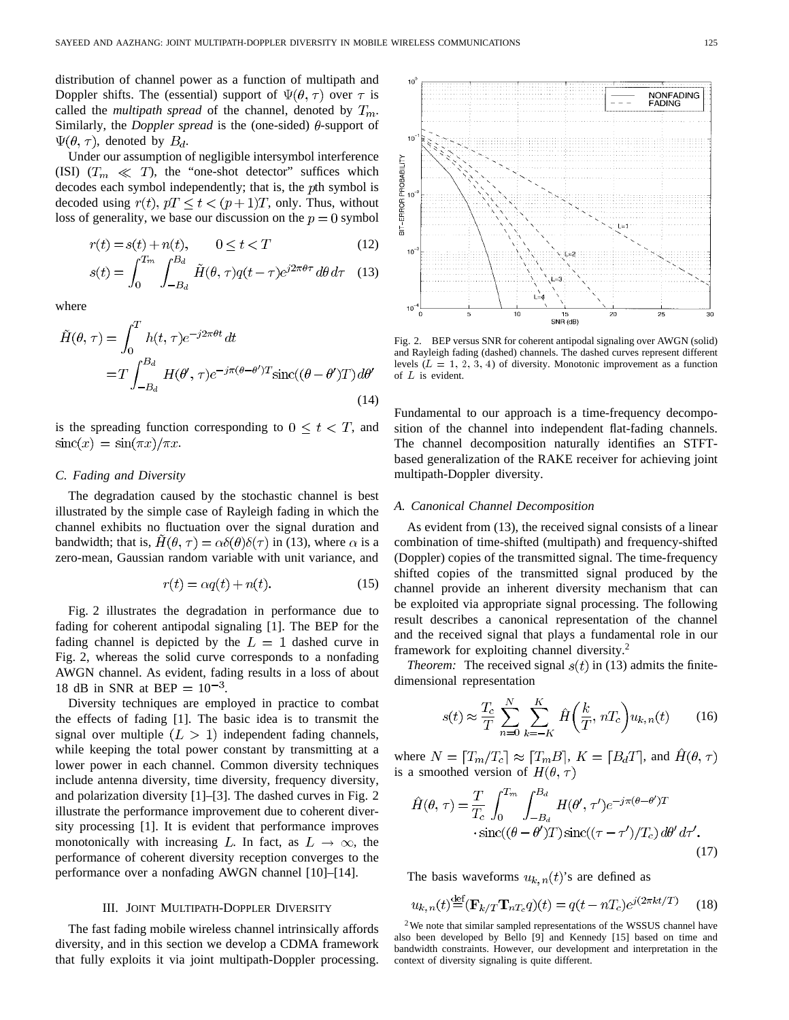distribution of channel power as a function of multipath and Doppler shifts. The (essential) support of  $\Psi(\theta, \tau)$  over  $\tau$  is called the *multipath spread* of the channel, denoted by  $T_m$ . Similarly, the *Doppler spread* is the (one-sided)  $\theta$ -support of  $\Psi(\theta, \tau)$ , denoted by  $B_d$ .

Under our assumption of negligible intersymbol interference (ISI)  $(T_m \ll T)$ , the "one-shot detector" suffices which decodes each symbol independently; that is, the pth symbol is decoded using  $r(t)$ ,  $pT \le t < (p+1)T$ , only. Thus, without loss of generality, we base our discussion on the  $p = 0$  symbol

$$
r(t) = s(t) + n(t), \qquad 0 \le t < T
$$
\n
$$
s(t) = \int_0^{T_m} \int_{-B_d}^{B_d} \tilde{H}(\theta, \tau) q(t - \tau) e^{j2\pi\theta\tau} d\theta d\tau \quad (13)
$$

where

$$
\tilde{H}(\theta,\tau) = \int_0^T h(t,\tau)e^{-j2\pi\theta t} dt
$$

$$
= T \int_{-B_d}^{B_d} H(\theta',\tau)e^{-j\pi(\theta-\theta')T} \text{sinc}((\theta-\theta')T) d\theta'
$$
\n(14)

is the spreading function corresponding to  $0 \leq t < T$ , and  $\operatorname{sinc}(x) = \sin(\pi x)/\pi x.$ 

## *C. Fading and Diversity*

The degradation caused by the stochastic channel is best illustrated by the simple case of Rayleigh fading in which the channel exhibits no fluctuation over the signal duration and bandwidth; that is,  $H(\theta, \tau) = \alpha \delta(\theta) \delta(\tau)$  in (13), where  $\alpha$  is a zero-mean, Gaussian random variable with unit variance, and

$$
r(t) = \alpha q(t) + n(t). \tag{15}
$$

Fig. 2 illustrates the degradation in performance due to fading for coherent antipodal signaling [1]. The BEP for the fading channel is depicted by the  $L = 1$  dashed curve in Fig. 2, whereas the solid curve corresponds to a nonfading AWGN channel. As evident, fading results in a loss of about 18 dB in SNR at BEP  $= 10^{-3}$ .

Diversity techniques are employed in practice to combat the effects of fading [1]. The basic idea is to transmit the signal over multiple  $(L > 1)$  independent fading channels, while keeping the total power constant by transmitting at a lower power in each channel. Common diversity techniques include antenna diversity, time diversity, frequency diversity, and polarization diversity [1]–[3]. The dashed curves in Fig. 2 illustrate the performance improvement due to coherent diversity processing [1]. It is evident that performance improves monotonically with increasing L. In fact, as  $L \rightarrow \infty$ , the performance of coherent diversity reception converges to the performance over a nonfading AWGN channel [10]–[14].

## III. JOINT MULTIPATH-DOPPLER DIVERSITY

The fast fading mobile wireless channel intrinsically affords diversity, and in this section we develop a CDMA framework that fully exploits it via joint multipath-Doppler processing.



Fig. 2. BEP versus SNR for coherent antipodal signaling over AWGN (solid) and Rayleigh fading (dashed) channels. The dashed curves represent different levels  $(L = 1, 2, 3, 4)$  of diversity. Monotonic improvement as a function of  $L$  is evident.

Fundamental to our approach is a time-frequency decomposition of the channel into independent flat-fading channels. The channel decomposition naturally identifies an STFTbased generalization of the RAKE receiver for achieving joint multipath-Doppler diversity.

#### *A. Canonical Channel Decomposition*

As evident from (13), the received signal consists of a linear combination of time-shifted (multipath) and frequency-shifted (Doppler) copies of the transmitted signal. The time-frequency shifted copies of the transmitted signal produced by the channel provide an inherent diversity mechanism that can be exploited via appropriate signal processing. The following result describes a canonical representation of the channel and the received signal that plays a fundamental role in our framework for exploiting channel diversity.<sup>2</sup>

*Theorem:* The received signal  $s(t)$  in (13) admits the finitedimensional representation

$$
s(t) \approx \frac{T_c}{T} \sum_{n=0}^{N} \sum_{k=-K}^{K} \hat{H}\left(\frac{k}{T}, nT_c\right) u_{k,n}(t) \qquad (16)
$$

where  $N = [T_m/T_c] \approx [T_m B]$ ,  $K = [B_d T]$ , and  $\hat{H}(\theta, \tau)$ is a smoothed version of  $H(\theta, \tau)$ 

$$
\hat{H}(\theta,\tau) = \frac{T}{T_c} \int_0^{T_m} \int_{-B_d}^{B_d} H(\theta',\tau') e^{-j\pi(\theta-\theta')T}
$$

$$
\cdot \operatorname{sinc}((\theta-\theta')T) \operatorname{sinc}((\tau-\tau')/T_c) d\theta' d\tau'. \tag{17}
$$

The basis waveforms  $u_{k,n}(t)$ 's are defined as

$$
u_{k,n}(t) \stackrel{\text{def}}{=} (\mathbf{F}_{k/T} \mathbf{T}_{nT_c} q)(t) = q(t - nT_c)e^{j(2\pi kt/T)} \tag{18}
$$

 $2$ We note that similar sampled representations of the WSSUS channel have also been developed by Bello [9] and Kennedy [15] based on time and bandwidth constraints. However, our development and interpretation in the context of diversity signaling is quite different.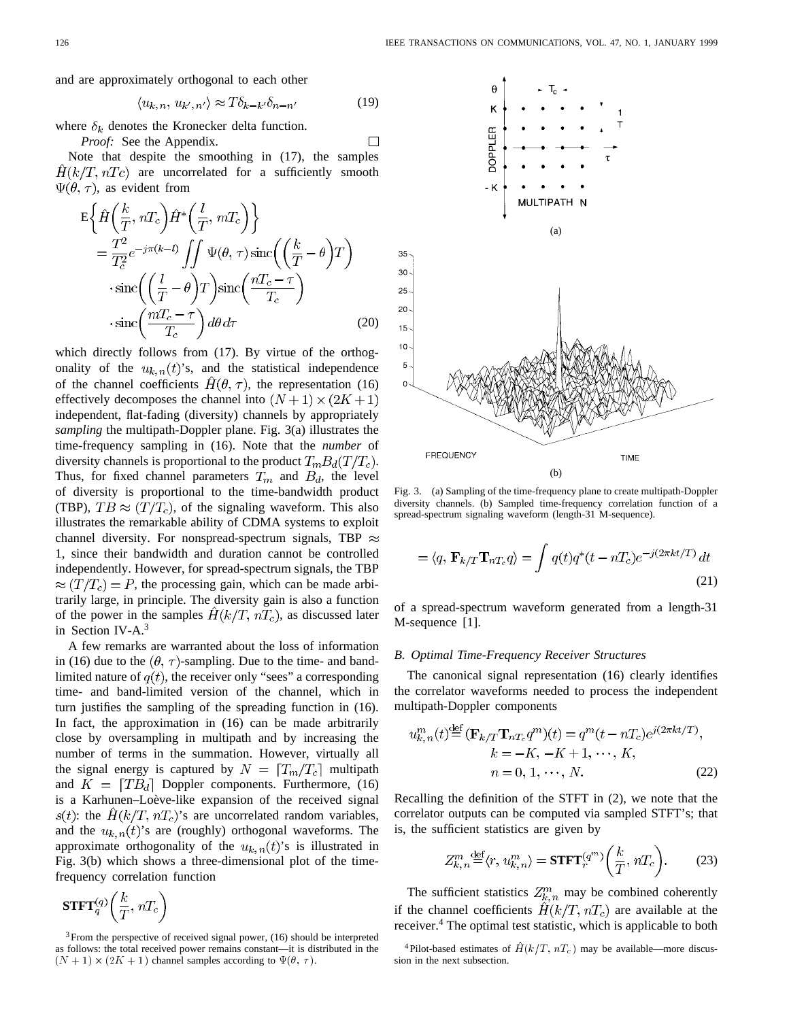and are approximately orthogonal to each other

$$
u_{k,n}, u_{k',n'}\rangle \approx T\delta_{k-k'}\delta_{n-n'}
$$
 (19)

where  $\delta_k$  denotes the Kronecker delta function.

 $\Box$ *Proof:* See the Appendix. Note that despite the smoothing in (17), the samples  $H(k/T, nTc)$  are uncorrelated for a sufficiently smooth  $\Psi(\theta, \tau)$ , as evident from

$$
E\left\{\hat{H}\left(\frac{k}{T}, nT_c\right)\hat{H}^*\left(\frac{l}{T}, mT_c\right)\right\}=\frac{T^2}{T_c^2}e^{-j\pi(k-l)}\iint \Psi(\theta, \tau)\operatorname{sinc}\left(\left(\frac{k}{T} - \theta\right)T\right)\cdot\operatorname{sinc}\left(\left(\frac{l}{T} - \theta\right)T\right)\operatorname{sinc}\left(\frac{nT_c - \tau}{T_c}\right)\cdot\operatorname{sinc}\left(\frac{mT_c - \tau}{T_c}\right)d\theta d\tau
$$
(20)

which directly follows from (17). By virtue of the orthogonality of the  $u_{k,n}(t)$ 's, and the statistical independence of the channel coefficients  $H(\theta, \tau)$ , the representation (16) effectively decomposes the channel into  $(N + 1) \times (2K + 1)$ independent, flat-fading (diversity) channels by appropriately *sampling* the multipath-Doppler plane. Fig. 3(a) illustrates the time-frequency sampling in (16). Note that the *number* of diversity channels is proportional to the product  $T_m B_d(T/T_c)$ . Thus, for fixed channel parameters  $T_m$  and  $B_d$ , the level of diversity is proportional to the time-bandwidth product (TBP),  $TB \approx (T/T_c)$ , of the signaling waveform. This also illustrates the remarkable ability of CDMA systems to exploit channel diversity. For nonspread-spectrum signals, TBP  $\approx$ 1, since their bandwidth and duration cannot be controlled independently. However, for spread-spectrum signals, the TBP  $\approx (T/T_c) = P$ , the processing gain, which can be made arbitrarily large, in principle. The diversity gain is also a function of the power in the samples  $\hat{H}(k/T, nT_c)$ , as discussed later in Section IV-A.<sup>3</sup>

A few remarks are warranted about the loss of information in (16) due to the  $(\theta, \tau)$ -sampling. Due to the time- and bandlimited nature of  $q(t)$ , the receiver only "sees" a corresponding time- and band-limited version of the channel, which in turn justifies the sampling of the spreading function in (16). In fact, the approximation in (16) can be made arbitrarily close by oversampling in multipath and by increasing the number of terms in the summation. However, virtually all the signal energy is captured by  $N = \lceil T_m/T_c \rceil$  multipath and  $K = [TB_d]$  Doppler components. Furthermore, (16) is a Karhunen–Loève-like expansion of the received signal  $s(t)$ : the  $H(k/T, nT_c)$ 's are uncorrelated random variables, and the  $u_{k,n}(t)$ 's are (roughly) orthogonal waveforms. The approximate orthogonality of the  $u_{k,n}(t)$ 's is illustrated in Fig. 3(b) which shows a three-dimensional plot of the timefrequency correlation function

 $\textbf{STFT}_q^{(q)}\!\!\left(\frac{k}{T}\!,\,nT_c\right)$ 



Fig. 3. (a) Sampling of the time-frequency plane to create multipath-Doppler diversity channels. (b) Sampled time-frequency correlation function of a spread-spectrum signaling waveform (length-31 M-sequence).

$$
= \langle q, \mathbf{F}_{k/T} \mathbf{T}_{nT_c} q \rangle = \int q(t) q^*(t - nT_c) e^{-j(2\pi kt/T)} dt
$$
\n(21)

of a spread-spectrum waveform generated from a length-31 M-sequence [1].

#### *B. Optimal Time-Frequency Receiver Structures*

The canonical signal representation (16) clearly identifies the correlator waveforms needed to process the independent multipath-Doppler components

$$
u_{k,n}^m(t) \stackrel{\text{def}}{=} (\mathbf{F}_{k/T} \mathbf{T}_{nT_c} q^m)(t) = q^m(t - nT_c)e^{j(2\pi kt/T)},
$$
  
\n
$$
k = -K, -K + 1, \cdots, K,
$$
  
\n
$$
n = 0, 1, \cdots, N.
$$
 (22)

Recalling the definition of the STFT in (2), we note that the correlator outputs can be computed via sampled STFT's; that is, the sufficient statistics are given by

$$
Z_{k,n}^{m} \stackrel{\text{def}}{=} \langle r, u_{k,n}^{m} \rangle = \mathbf{STFT}_{r}^{(q^m)} \bigg( \frac{k}{T}, nT_c \bigg). \tag{23}
$$

The sufficient statistics  $Z_{k,n}^m$  may be combined coherently if the channel coefficients  $\hat{H}(k/T, nT_c)$  are available at the receiver.<sup>4</sup> The optimal test statistic, which is applicable to both

 $3$  From the perspective of received signal power, (16) should be interpreted as follows: the total received power remains constant—it is distributed in the  $(N + 1) \times (2K + 1)$  channel samples according to  $\Psi(\theta, \tau)$ .

<sup>&</sup>lt;sup>4</sup>Pilot-based estimates of  $\hat{H} (k/T, nT_c)$  may be available—more discussion in the next subsection.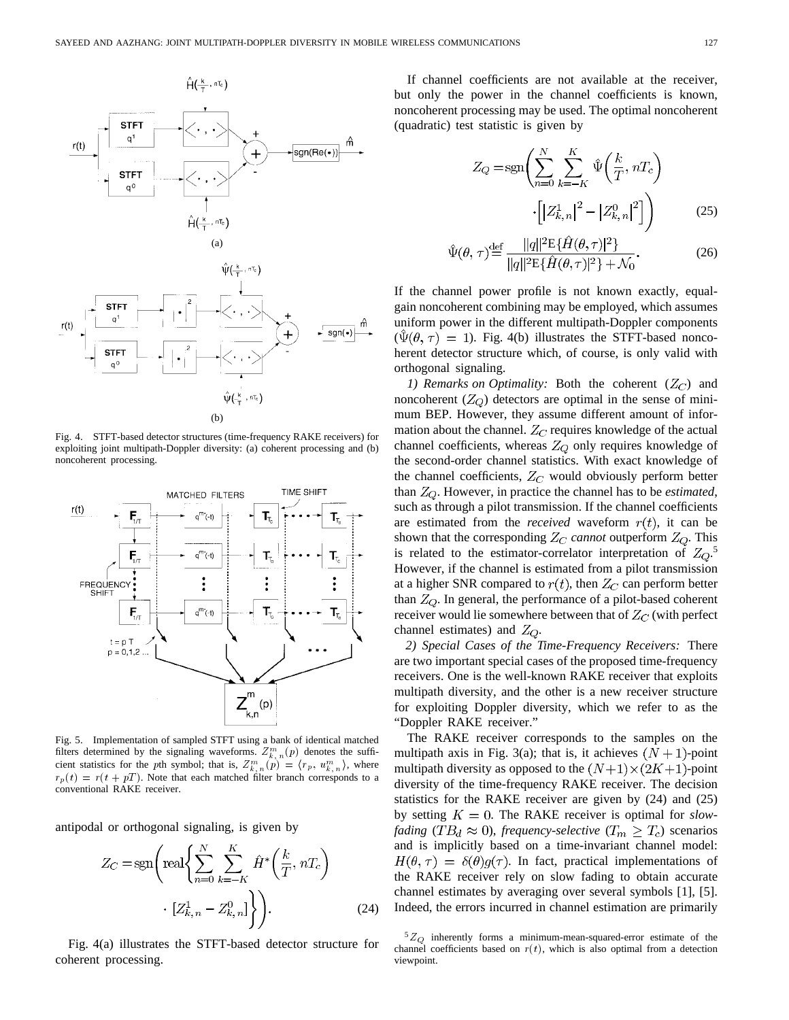

Fig. 4. STFT-based detector structures (time-frequency RAKE receivers) for exploiting joint multipath-Doppler diversity: (a) coherent processing and (b) noncoherent processing.



Fig. 5. Implementation of sampled STFT using a bank of identical matched filters determined by the signaling waveforms.  $Z_{k,n}^m(p)$  denotes the sufficient statistics for the pth symbol; that is,  $Z_{k,n}^m(p) = \langle r_p, u_{k,n}^m \rangle$ , where  $r_p(t) = r(t + pT)$ . Note that each matched filter branch corresponds to a conventional RAKE receiver.

antipodal or orthogonal signaling, is given by

$$
Z_C = sgn\left(\text{real}\left\{\sum_{n=0}^{N}\sum_{k=-K}^{K}\hat{H}^*\left(\frac{k}{T}, nT_c\right)\right.\right.\cdot [Z_{k,n}^1 - Z_{k,n}^0]\right\}.
$$
 (24)

Fig. 4(a) illustrates the STFT-based detector structure for coherent processing.

If channel coefficients are not available at the receiver, but only the power in the channel coefficients is known, noncoherent processing may be used. The optimal noncoherent (quadratic) test statistic is given by

$$
Z_Q = \text{sgn}\left(\sum_{n=0}^{N} \sum_{k=-K}^{K} \hat{\Psi}\left(\frac{k}{T}, nT_c\right) \cdot \left[|Z_{k,n}^1|^2 - |Z_{k,n}^0|^2\right]\right)
$$
(25)

$$
\hat{\Psi}(\theta,\tau) \stackrel{\text{def}}{=} \frac{||q||^2 \mathcal{E}\{\hat{H}(\theta,\tau)|^2\}}{||q||^2 \mathcal{E}\{\hat{H}(\theta,\tau)|^2\} + \mathcal{N}_0}.
$$
\n(26)

If the channel power profile is not known exactly, equalgain noncoherent combining may be employed, which assumes uniform power in the different multipath-Doppler components  $(\Psi(\theta, \tau) = 1)$ . Fig. 4(b) illustrates the STFT-based noncoherent detector structure which, of course, is only valid with orthogonal signaling.

*1) Remarks on Optimality:* Both the coherent  $(Z_C)$  and noncoherent  $(Z_Q)$  detectors are optimal in the sense of minimum BEP. However, they assume different amount of information about the channel.  $Z_C$  requires knowledge of the actual channel coefficients, whereas  $Z_Q$  only requires knowledge of the second-order channel statistics. With exact knowledge of the channel coefficients,  $Z_C$  would obviously perform better than  $Z_Q$ . However, in practice the channel has to be *estimated*, such as through a pilot transmission. If the channel coefficients are estimated from the *received* waveform  $r(t)$ , it can be shown that the corresponding  $Z_C$  cannot outperform  $Z_Q$ . This is related to the estimator-correlator interpretation of  $Z_Q$ .<sup>5</sup> However, if the channel is estimated from a pilot transmission at a higher SNR compared to  $r(t)$ , then  $Z_C$  can perform better than  $Z_Q$ . In general, the performance of a pilot-based coherent receiver would lie somewhere between that of  $Z_C$  (with perfect channel estimates) and  $Z_{\text{O}}$ .

*2) Special Cases of the Time-Frequency Receivers:* There are two important special cases of the proposed time-frequency receivers. One is the well-known RAKE receiver that exploits multipath diversity, and the other is a new receiver structure for exploiting Doppler diversity, which we refer to as the "Doppler RAKE receiver."

The RAKE receiver corresponds to the samples on the multipath axis in Fig. 3(a); that is, it achieves  $(N + 1)$ -point multipath diversity as opposed to the  $(N+1)\times(2K+1)$ -point diversity of the time-frequency RAKE receiver. The decision statistics for the RAKE receiver are given by (24) and (25) by setting  $K = 0$ . The RAKE receiver is optimal for *slowfading*  $(TB_d \approx 0)$ , *frequency-selective*  $(T_m \geq T_c)$  scenarios and is implicitly based on a time-invariant channel model:  $H(\theta, \tau) = \delta(\theta) g(\tau)$ . In fact, practical implementations of the RAKE receiver rely on slow fading to obtain accurate channel estimates by averaging over several symbols [1], [5]. Indeed, the errors incurred in channel estimation are primarily

 ${}^5Z_{\odot}$  inherently forms a minimum-mean-squared-error estimate of the channel coefficients based on  $r(t)$ , which is also optimal from a detection viewpoint.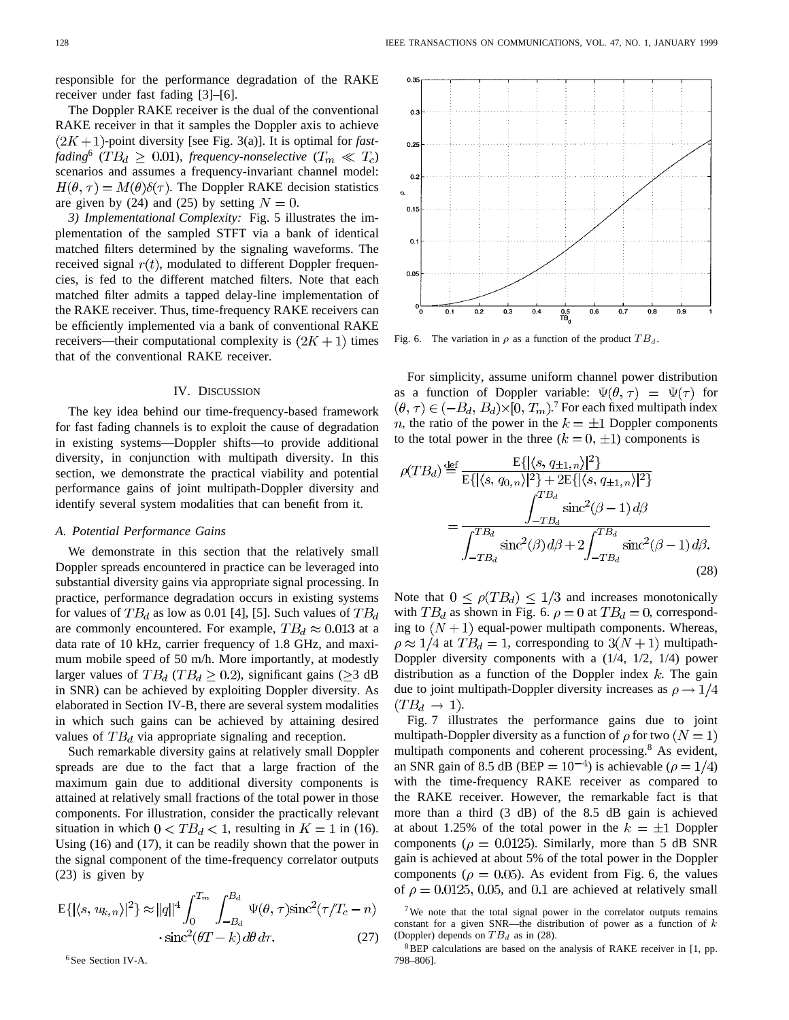responsible for the performance degradation of the RAKE receiver under fast fading [3]–[6].

The Doppler RAKE receiver is the dual of the conventional RAKE receiver in that it samples the Doppler axis to achieve  $(2K+1)$ -point diversity [see Fig. 3(a)]. It is optimal for *fastfading*<sup>6</sup> ( $TB_d \geq 0.01$ ), *frequency-nonselective* ( $T_m \ll T_c$ ) scenarios and assumes a frequency-invariant channel model:  $H(\theta, \tau) = M(\theta)\delta(\tau)$ . The Doppler RAKE decision statistics are given by (24) and (25) by setting  $N = 0$ .

*3) Implementational Complexity:* Fig. 5 illustrates the implementation of the sampled STFT via a bank of identical matched filters determined by the signaling waveforms. The received signal  $r(t)$ , modulated to different Doppler frequencies, is fed to the different matched filters. Note that each matched filter admits a tapped delay-line implementation of the RAKE receiver. Thus, time-frequency RAKE receivers can be efficiently implemented via a bank of conventional RAKE receivers—their computational complexity is  $(2K + 1)$  times that of the conventional RAKE receiver.

## IV. DISCUSSION

The key idea behind our time-frequency-based framework for fast fading channels is to exploit the cause of degradation in existing systems—Doppler shifts—to provide additional diversity, in conjunction with multipath diversity. In this section, we demonstrate the practical viability and potential performance gains of joint multipath-Doppler diversity and identify several system modalities that can benefit from it.

## *A. Potential Performance Gains*

We demonstrate in this section that the relatively small Doppler spreads encountered in practice can be leveraged into substantial diversity gains via appropriate signal processing. In practice, performance degradation occurs in existing systems for values of  $TB_d$  as low as 0.01 [4], [5]. Such values of  $TB_d$ are commonly encountered. For example,  $TB_d \approx 0.013$  at a data rate of 10 kHz, carrier frequency of 1.8 GHz, and maximum mobile speed of 50 m/h. More importantly, at modestly larger values of  $TB_d$  ( $TB_d \geq 0.2$ ), significant gains ( $\geq 3$  dB in SNR) can be achieved by exploiting Doppler diversity. As elaborated in Section IV-B, there are several system modalities in which such gains can be achieved by attaining desired values of  $TB<sub>d</sub>$  via appropriate signaling and reception.

Such remarkable diversity gains at relatively small Doppler spreads are due to the fact that a large fraction of the maximum gain due to additional diversity components is attained at relatively small fractions of the total power in those components. For illustration, consider the practically relevant situation in which  $0 < TB_d < 1$ , resulting in  $K = 1$  in (16). Using (16) and (17), it can be readily shown that the power in the signal component of the time-frequency correlator outputs (23) is given by

$$
E\{|\langle s, u_{k,n}\rangle|^2\} \approx ||q||^4 \int_0^{T_m} \int_{-B_d}^{B_d} \Psi(\theta, \tau) \operatorname{sinc}^2(\tau/T_c - n) \cdot \operatorname{sinc}^2(\theta T - k) d\theta d\tau.
$$
 (27)





Fig. 6. The variation in  $\rho$  as a function of the product  $TB_d$ .

For simplicity, assume uniform channel power distribution as a function of Doppler variable:  $\Psi(\theta, \tau) = \Psi(\tau)$  for . <sup>7</sup> For each fixed multipath index *n*, the ratio of the power in the  $k = \pm 1$  Doppler components to the total power in the three  $(k = 0, \pm 1)$  components is

$$
\rho(TB_d) \stackrel{\text{def}}{=} \frac{E\{|\langle s, q_{\pm 1,n}\rangle|^2\}}{E\{|\langle s, q_{0,n}\rangle|^2\} + 2E\{|\langle s, q_{\pm 1,n}\rangle|^2\}}
$$

$$
= \frac{\int_{-T B_d}^{T B_d} \text{sinc}^2(\beta - 1) d\beta}{\int_{-T B_d}^{T B_d} \text{sinc}^2(\beta) d\beta + 2 \int_{-T B_d}^{T B_d} \text{sinc}^2(\beta - 1) d\beta.}
$$
(28)

Note that  $0 \leq \rho(TB_d) \leq 1/3$  and increases monotonically with  $TB_d$  as shown in Fig. 6.  $\rho = 0$  at  $TB_d = 0$ , corresponding to  $(N+1)$  equal-power multipath components. Whereas,  $\rho \approx 1/4$  at  $TB_d = 1$ , corresponding to  $3(N+1)$  multipath-Doppler diversity components with a (1/4, 1/2, 1/4) power distribution as a function of the Doppler index  $k$ . The gain due to joint multipath-Doppler diversity increases as  $\rho \rightarrow 1/4$  $(TB_d \rightarrow 1)$ .

Fig. 7 illustrates the performance gains due to joint multipath-Doppler diversity as a function of  $\rho$  for two  $(N = 1)$ multipath components and coherent processing.<sup>8</sup> As evident, an SNR gain of 8.5 dB (BEP =  $10^{-4}$ ) is achievable ( $\rho = 1/4$ ) with the time-frequency RAKE receiver as compared to the RAKE receiver. However, the remarkable fact is that more than a third (3 dB) of the 8.5 dB gain is achieved at about 1.25% of the total power in the  $k = \pm 1$  Doppler components ( $\rho = 0.0125$ ). Similarly, more than 5 dB SNR gain is achieved at about 5% of the total power in the Doppler components ( $\rho = 0.05$ ). As evident from Fig. 6, the values of  $\rho = 0.0125, 0.05,$  and 0.1 are achieved at relatively small

<sup>7</sup>We note that the total signal power in the correlator outputs remains constant for a given SNR—the distribution of power as a function of  $k$ (Doppler) depends on  $TB_d$  as in (28).

8BEP calculations are based on the analysis of RAKE receiver in [1, pp. 798–806].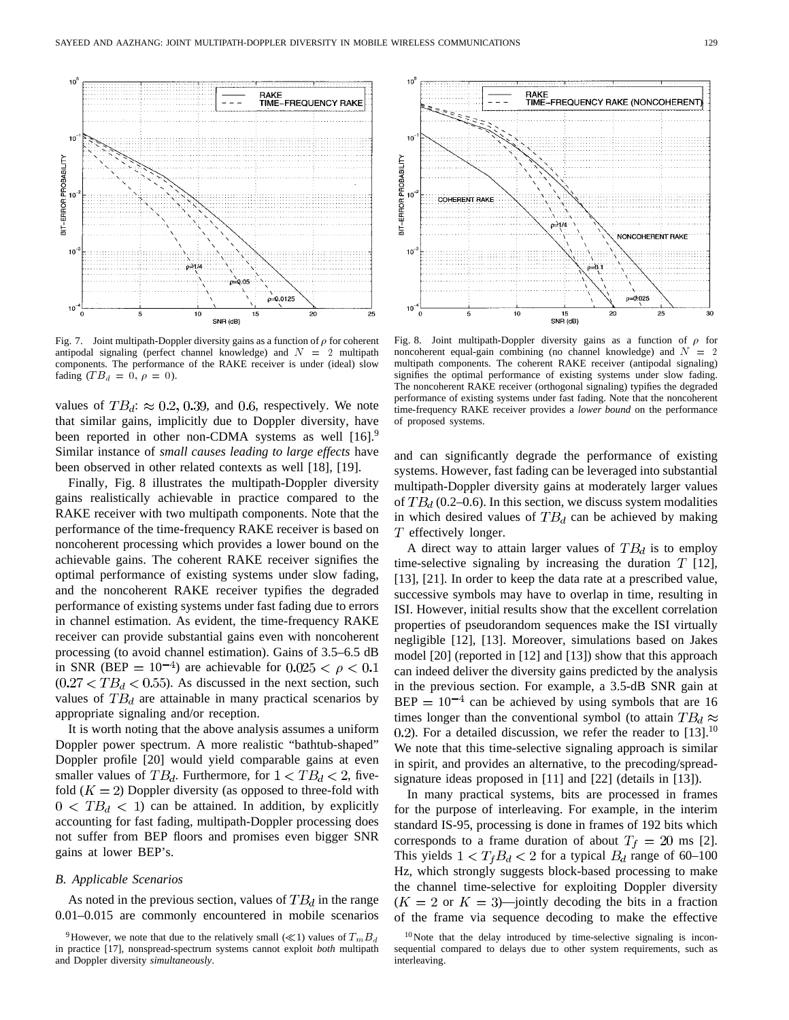

Fig. 7. Joint multipath-Doppler diversity gains as a function of  $\rho$  for coherent antipodal signaling (perfect channel knowledge) and  $N = 2$  multipath components. The performance of the RAKE receiver is under (ideal) slow fading  $(T B_d = 0, \rho = 0)$ .

values of  $TB_d$ :  $\approx 0.2, 0.39$ , and 0.6, respectively. We note that similar gains, implicitly due to Doppler diversity, have been reported in other non-CDMA systems as well [16].<sup>9</sup> Similar instance of *small causes leading to large effects* have been observed in other related contexts as well [18], [19].

Finally, Fig. 8 illustrates the multipath-Doppler diversity gains realistically achievable in practice compared to the RAKE receiver with two multipath components. Note that the performance of the time-frequency RAKE receiver is based on noncoherent processing which provides a lower bound on the achievable gains. The coherent RAKE receiver signifies the optimal performance of existing systems under slow fading, and the noncoherent RAKE receiver typifies the degraded performance of existing systems under fast fading due to errors in channel estimation. As evident, the time-frequency RAKE receiver can provide substantial gains even with noncoherent processing (to avoid channel estimation). Gains of 3.5–6.5 dB in SNR (BEP =  $10^{-4}$ ) are achievable for  $0.025 < \rho < 0.1$  $(0.27 < TB_d < 0.55)$ . As discussed in the next section, such values of  $TB<sub>d</sub>$  are attainable in many practical scenarios by appropriate signaling and/or reception.

It is worth noting that the above analysis assumes a uniform Doppler power spectrum. A more realistic "bathtub-shaped" Doppler profile [20] would yield comparable gains at even smaller values of  $TB_d$ . Furthermore, for  $1 < TB_d < 2$ , fivefold  $(K = 2)$  Doppler diversity (as opposed to three-fold with  $0 < TB_d < 1$ ) can be attained. In addition, by explicitly accounting for fast fading, multipath-Doppler processing does not suffer from BEP floors and promises even bigger SNR gains at lower BEP's.

#### *B. Applicable Scenarios*

As noted in the previous section, values of  $TB<sub>d</sub>$  in the range 0.01–0.015 are commonly encountered in mobile scenarios



Fig. 8. Joint multipath-Doppler diversity gains as a function of  $\rho$  for noncoherent equal-gain combining (no channel knowledge) and  $N = 2$ multipath components. The coherent RAKE receiver (antipodal signaling) signifies the optimal performance of existing systems under slow fading. The noncoherent RAKE receiver (orthogonal signaling) typifies the degraded performance of existing systems under fast fading. Note that the noncoherent time-frequency RAKE receiver provides a *lower bound* on the performance of proposed systems.

and can significantly degrade the performance of existing systems. However, fast fading can be leveraged into substantial multipath-Doppler diversity gains at moderately larger values of  $TB_d$  (0.2–0.6). In this section, we discuss system modalities in which desired values of  $TB<sub>d</sub>$  can be achieved by making  $T$  effectively longer.

A direct way to attain larger values of  $TB<sub>d</sub>$  is to employ time-selective signaling by increasing the duration  $T$  [12], [13], [21]. In order to keep the data rate at a prescribed value, successive symbols may have to overlap in time, resulting in ISI. However, initial results show that the excellent correlation properties of pseudorandom sequences make the ISI virtually negligible [12], [13]. Moreover, simulations based on Jakes model [20] (reported in [12] and [13]) show that this approach can indeed deliver the diversity gains predicted by the analysis in the previous section. For example, a 3.5-dB SNR gain at  $BEP = 10^{-4}$  can be achieved by using symbols that are 16 times longer than the conventional symbol (to attain  $TB_d \approx$ 0.2). For a detailed discussion, we refer the reader to  $[13]$ .<sup>10</sup> We note that this time-selective signaling approach is similar in spirit, and provides an alternative, to the precoding/spreadsignature ideas proposed in [11] and [22] (details in [13]).

In many practical systems, bits are processed in frames for the purpose of interleaving. For example, in the interim standard IS-95, processing is done in frames of 192 bits which corresponds to a frame duration of about  $T_f = 20$  ms [2]. This yields  $1 < T_f B_d < 2$  for a typical  $B_d$  range of 60–100 Hz, which strongly suggests block-based processing to make the channel time-selective for exploiting Doppler diversity  $(K = 2 \text{ or } K = 3)$ —jointly decoding the bits in a fraction of the frame via sequence decoding to make the effective

<sup>&</sup>lt;sup>9</sup>However, we note that due to the relatively small ( $\ll$ 1) values of  $T_m B_d$ in practice [17], nonspread-spectrum systems cannot exploit *both* multipath and Doppler diversity *simultaneously*.

 $10$ Note that the delay introduced by time-selective signaling is inconsequential compared to delays due to other system requirements, such as interleaving.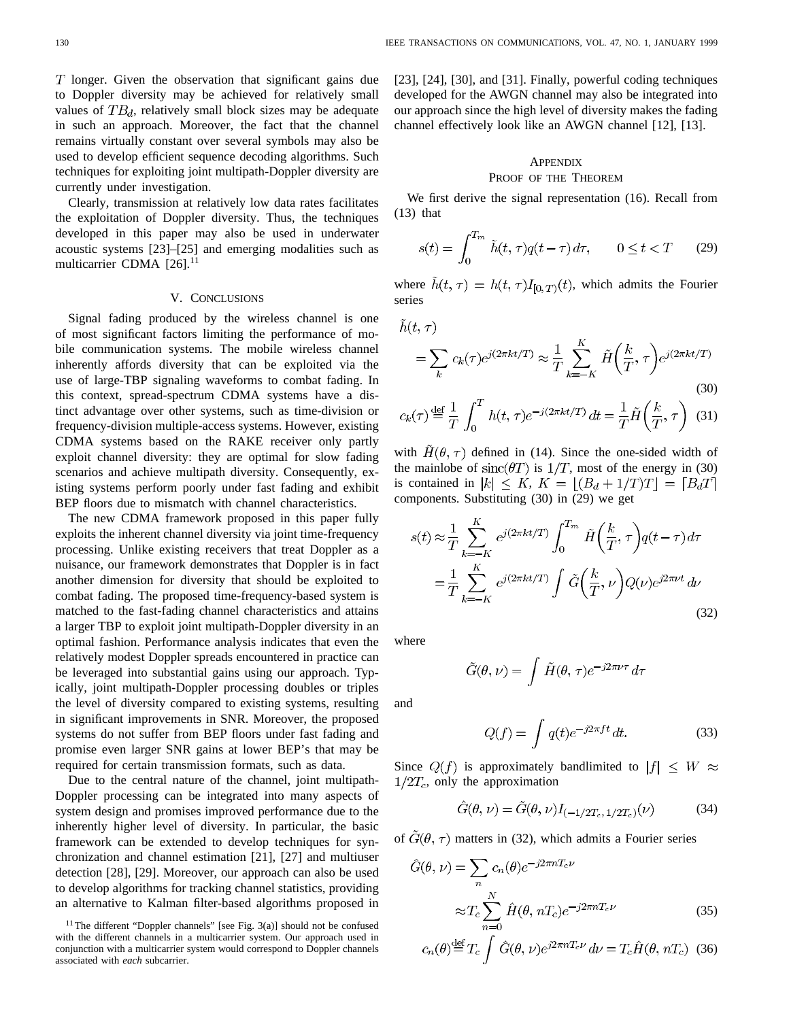$T$  longer. Given the observation that significant gains due to Doppler diversity may be achieved for relatively small values of  $TB_d$ , relatively small block sizes may be adequate in such an approach. Moreover, the fact that the channel remains virtually constant over several symbols may also be used to develop efficient sequence decoding algorithms. Such techniques for exploiting joint multipath-Doppler diversity are currently under investigation.

Clearly, transmission at relatively low data rates facilitates the exploitation of Doppler diversity. Thus, the techniques developed in this paper may also be used in underwater acoustic systems [23]–[25] and emerging modalities such as multicarrier CDMA  $[26]$ <sup>11</sup>

## V. CONCLUSIONS

Signal fading produced by the wireless channel is one of most significant factors limiting the performance of mobile communication systems. The mobile wireless channel inherently affords diversity that can be exploited via the use of large-TBP signaling waveforms to combat fading. In this context, spread-spectrum CDMA systems have a distinct advantage over other systems, such as time-division or frequency-division multiple-access systems. However, existing CDMA systems based on the RAKE receiver only partly exploit channel diversity: they are optimal for slow fading scenarios and achieve multipath diversity. Consequently, existing systems perform poorly under fast fading and exhibit BEP floors due to mismatch with channel characteristics.

The new CDMA framework proposed in this paper fully exploits the inherent channel diversity via joint time-frequency processing. Unlike existing receivers that treat Doppler as a nuisance, our framework demonstrates that Doppler is in fact another dimension for diversity that should be exploited to combat fading. The proposed time-frequency-based system is matched to the fast-fading channel characteristics and attains a larger TBP to exploit joint multipath-Doppler diversity in an optimal fashion. Performance analysis indicates that even the relatively modest Doppler spreads encountered in practice can be leveraged into substantial gains using our approach. Typically, joint multipath-Doppler processing doubles or triples the level of diversity compared to existing systems, resulting in significant improvements in SNR. Moreover, the proposed systems do not suffer from BEP floors under fast fading and promise even larger SNR gains at lower BEP's that may be required for certain transmission formats, such as data.

Due to the central nature of the channel, joint multipath-Doppler processing can be integrated into many aspects of system design and promises improved performance due to the inherently higher level of diversity. In particular, the basic framework can be extended to develop techniques for synchronization and channel estimation [21], [27] and multiuser detection [28], [29]. Moreover, our approach can also be used to develop algorithms for tracking channel statistics, providing an alternative to Kalman filter-based algorithms proposed in [23], [24], [30], and [31]. Finally, powerful coding techniques developed for the AWGN channel may also be integrated into our approach since the high level of diversity makes the fading channel effectively look like an AWGN channel [12], [13].

# **APPENDIX** PROOF OF THE THEOREM

We first derive the signal representation (16). Recall from (13) that

$$
s(t) = \int_0^{T_m} \tilde{h}(t, \tau) q(t - \tau) d\tau, \qquad 0 \le t < T \qquad (29)
$$

where  $\tilde{h}(t, \tau) = h(t, \tau) I_{[0, T)}(t)$ , which admits the Fourier series

$$
\tilde{h}(t, \tau)
$$
\n
$$
= \sum_{k} c_k(\tau) e^{j(2\pi kt/T)} \approx \frac{1}{T} \sum_{k=-K}^{K} \tilde{H}\left(\frac{k}{T}, \tau\right) e^{j(2\pi kt/T)}
$$
\n(30)

$$
c_k(\tau) \stackrel{\text{def}}{=} \frac{1}{T} \int_0^T h(t, \tau) e^{-j(2\pi kt/T)} dt = \frac{1}{T} \tilde{H}\left(\frac{k}{T}, \tau\right) \tag{31}
$$

with  $\tilde{H}(\theta, \tau)$  defined in (14). Since the one-sided width of the mainlobe of  $\operatorname{sinc}(\theta T)$  is  $1/T$ , most of the energy in (30) is contained in  $|k| \leq K$ ,  $K = |(B_d + 1/T)T| = [B_dT]$ components. Substituting (30) in (29) we get

$$
s(t) \approx \frac{1}{T} \sum_{k=-K}^{K} e^{j(2\pi kt/T)} \int_0^{T_m} \tilde{H}\left(\frac{k}{T}, \tau\right) q(t-\tau) d\tau
$$

$$
= \frac{1}{T} \sum_{k=-K}^{K} e^{j(2\pi kt/T)} \int \tilde{G}\left(\frac{k}{T}, \nu\right) Q(\nu) e^{j2\pi \nu t} d\nu
$$
(32)

where

$$
\tilde{G}(\theta,\nu) = \int \tilde{H}(\theta,\tau)e^{-j2\pi\nu\tau} d\tau
$$

and

$$
Q(f) = \int q(t)e^{-j2\pi ft} dt.
$$
 (33)

Since  $Q(f)$  is approximately bandlimited to  $|f| \leq W \approx$  $1/2T_c$ , only the approximation

$$
\hat{G}(\theta,\nu) = \tilde{G}(\theta,\nu)I_{(-1/2T_c,1/2T_c)}(\nu) \tag{34}
$$

of  $\hat{G}(\theta, \tau)$  matters in (32), which admits a Fourier series

$$
\hat{G}(\theta, \nu) = \sum_{n} c_n(\theta) e^{-j2\pi nT_c\nu}
$$

$$
\approx T_c \sum_{n=0}^{N} \hat{H}(\theta, nT_c) e^{-j2\pi nT_c\nu}
$$
(35)

$$
c_n(\theta) \stackrel{\text{def}}{=} T_c \int \hat{G}(\theta, \nu) e^{j2\pi n T_c \nu} d\nu = T_c \hat{H}(\theta, nT_c) \tag{36}
$$

<sup>&</sup>lt;sup>11</sup>The different "Doppler channels" [see Fig. 3(a)] should not be confused with the different channels in a multicarrier system. Our approach used in conjunction with a multicarrier system would correspond to Doppler channels associated with *each* subcarrier.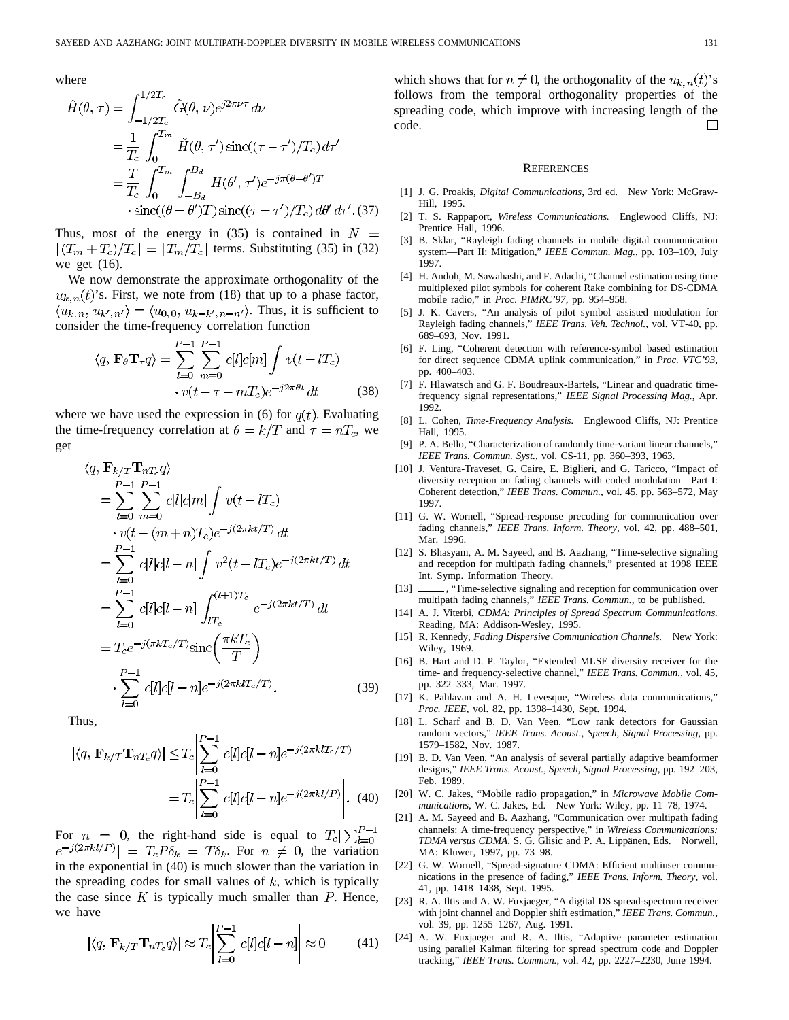where

$$
\hat{H}(\theta,\tau) = \int_{-1/2T_c}^{1/2T_c} \tilde{G}(\theta,\nu) e^{j2\pi\nu\tau} d\nu
$$
\n
$$
= \frac{1}{T_c} \int_0^{T_m} \tilde{H}(\theta,\tau') \operatorname{sinc}((\tau-\tau')/T_c) d\tau'
$$
\n
$$
= \frac{T}{T_c} \int_0^{T_m} \int_{-B_d}^{B_d} H(\theta',\tau') e^{-j\pi(\theta-\theta')T}
$$
\n
$$
\cdot \operatorname{sinc}((\theta-\theta')T) \operatorname{sinc}((\tau-\tau')/T_c) d\theta' d\tau'. (37)
$$

Thus, most of the energy in (35) is contained in  $N =$  $[(T_m + T_c)/T_c] = [T_m/T_c]$  terms. Substituting (35) in (32) we get (16).

We now demonstrate the approximate orthogonality of the  $u_{k,n}(t)$ 's. First, we note from (18) that up to a phase factor,  $\langle u_{k,n}, u_{k',n'} \rangle = \langle u_{0,0}, u_{k-k',n-n'} \rangle$ . Thus, it is sufficient to consider the time-frequency correlation function

$$
\langle q, \mathbf{F}_{\theta} \mathbf{T}_{\tau} q \rangle = \sum_{l=0}^{P-1} \sum_{m=0}^{P-1} c[l] c[m] \int v(t - lT_c)
$$

$$
\cdot v(t - \tau - mT_c) e^{-j2\pi \theta t} dt \qquad (38)
$$

where we have used the expression in (6) for  $q(t)$ . Evaluating the time-frequency correlation at  $\theta = k/T$  and  $\tau = nT_c$ , we get

$$
\langle q, \mathbf{F}_{k/T} \mathbf{T}_{nT_c} q \rangle
$$
  
\n
$$
= \sum_{l=0}^{P-1} \sum_{m=0}^{P-1} c[l] c[m] \int v(t - lT_c)
$$
  
\n
$$
\cdot v(t - (m+n)T_c) e^{-j(2\pi kt/T)} dt
$$
  
\n
$$
= \sum_{l=0}^{P-1} c[l] c[l - n] \int v^2(t - lT_c) e^{-j(2\pi kt/T)} dt
$$
  
\n
$$
= \sum_{l=0}^{P-1} c[l] c[l - n] \int_{lT_c}^{(l+1)T_c} e^{-j(2\pi kt/T)} dt
$$
  
\n
$$
= T_c e^{-j(\pi kT_c/T)} \text{sinc}\left(\frac{\pi kT_c}{T}\right)
$$
  
\n
$$
\cdot \sum_{l=0}^{P-1} c[l] c[l - n] e^{-j(2\pi kt/T)}.
$$
 (39)

Thus,

$$
|\langle q, \mathbf{F}_{k/T} \mathbf{T}_{nT_c} q \rangle| \leq T_c \left| \sum_{l=0}^{P-1} c[l] c[l-n] e^{-j(2\pi klT_c/T)} \right|
$$
  
= 
$$
T_c \left| \sum_{l=0}^{P-1} c[l] c[l-n] e^{-j(2\pi kl/P)} \right|.
$$
 (40)

For  $n = 0$ , the right-hand side is equal to  $T_c\left(\sum_{k=0}^{P-1}$  $|e^{-j(2\pi kl/P)}| = T_c P \delta_k = T \delta_k$ . For  $n \neq 0$ , the variation in the exponential in (40) is much slower than the variation in the spreading codes for small values of  $k$ , which is typically the case since  $K$  is typically much smaller than  $P$ . Hence, we have

$$
|\langle q, \mathbf{F}_{k/T} \mathbf{T}_{nT_c} q \rangle| \approx T_c \left| \sum_{l=0}^{P-1} c[l] c[l-n] \right| \approx 0 \quad (41)
$$

which shows that for  $n \neq 0$ , the orthogonality of the  $u_{k,n}(t)$ 's follows from the temporal orthogonality properties of the spreading code, which improve with increasing length of the code.

#### **REFERENCES**

- [1] J. G. Proakis, *Digital Communications,* 3rd ed. New York: McGraw-Hill, 1995.
- [2] T. S. Rappaport, *Wireless Communications.* Englewood Cliffs, NJ: Prentice Hall, 1996.
- [3] B. Sklar, "Rayleigh fading channels in mobile digital communication system—Part II: Mitigation," *IEEE Commun. Mag.,* pp. 103–109, July 1997.
- [4] H. Andoh, M. Sawahashi, and F. Adachi, "Channel estimation using time multiplexed pilot symbols for coherent Rake combining for DS-CDMA mobile radio," in *Proc. PIMRC'97,* pp. 954–958.
- [5] J. K. Cavers, "An analysis of pilot symbol assisted modulation for Rayleigh fading channels," *IEEE Trans. Veh. Technol.,* vol. VT-40, pp. 689–693, Nov. 1991.
- [6] F. Ling, "Coherent detection with reference-symbol based estimation for direct sequence CDMA uplink communication," in *Proc. VTC'93,* pp. 400–403.
- [7] F. Hlawatsch and G. F. Boudreaux-Bartels, "Linear and quadratic timefrequency signal representations," *IEEE Signal Processing Mag.,* Apr. 1992.
- [8] L. Cohen, *Time-Frequency Analysis.* Englewood Cliffs, NJ: Prentice Hall, 1995.
- [9] P. A. Bello, "Characterization of randomly time-variant linear channels," *IEEE Trans. Commun. Syst.,* vol. CS-11, pp. 360–393, 1963.
- [10] J. Ventura-Traveset, G. Caire, E. Biglieri, and G. Taricco, "Impact of diversity reception on fading channels with coded modulation—Part I: Coherent detection," *IEEE Trans. Commun.,* vol. 45, pp. 563–572, May 1997.
- [11] G. W. Wornell, "Spread-response precoding for communication over fading channels," *IEEE Trans. Inform. Theory,* vol. 42, pp. 488–501, Mar. 1996.
- [12] S. Bhasyam, A. M. Sayeed, and B. Aazhang, "Time-selective signaling and reception for multipath fading channels," presented at 1998 IEEE Int. Symp. Information Theory.
- [13] \_\_\_\_\_, "Time-selective signaling and reception for communication over multipath fading channels," *IEEE Trans. Commun.,* to be published.
- [14] A. J. Viterbi, *CDMA: Principles of Spread Spectrum Communications.* Reading, MA: Addison-Wesley, 1995.
- [15] R. Kennedy, *Fading Dispersive Communication Channels.* New York: Wiley, 1969.
- [16] B. Hart and D. P. Taylor, "Extended MLSE diversity receiver for the time- and frequency-selective channel," *IEEE Trans. Commun.,* vol. 45, pp. 322–333, Mar. 1997.
- [17] K. Pahlavan and A. H. Levesque, "Wireless data communications," *Proc. IEEE*, vol. 82, pp. 1398–1430, Sept. 1994.
- [18] L. Scharf and B. D. Van Veen, "Low rank detectors for Gaussian random vectors," *IEEE Trans. Acoust., Speech, Signal Processing,* pp. 1579–1582, Nov. 1987.
- [19] B. D. Van Veen, "An analysis of several partially adaptive beamformer designs," *IEEE Trans. Acoust., Speech, Signal Processing,* pp. 192–203, Feb. 1989.
- [20] W. C. Jakes, "Mobile radio propagation," in *Microwave Mobile Communications,* W. C. Jakes, Ed. New York: Wiley, pp. 11–78, 1974.
- [21] A. M. Sayeed and B. Aazhang, "Communication over multipath fading channels: A time-frequency perspective," in *Wireless Communications: TDMA versus CDMA*, S. G. Glisic and P. A. Lippänen, Eds. Norwell, MA: Kluwer, 1997, pp. 73–98.
- [22] G. W. Wornell, "Spread-signature CDMA: Efficient multiuser communications in the presence of fading," *IEEE Trans. Inform. Theory,* vol. 41, pp. 1418–1438, Sept. 1995.
- [23] R. A. Iltis and A. W. Fuxjaeger, "A digital DS spread-spectrum receiver with joint channel and Doppler shift estimation," *IEEE Trans. Commun.,* vol. 39, pp. 1255–1267, Aug. 1991.
- [24] A. W. Fuxjaeger and R. A. Iltis, "Adaptive parameter estimation using parallel Kalman filtering for spread spectrum code and Doppler tracking," *IEEE Trans. Commun.,* vol. 42, pp. 2227–2230, June 1994.